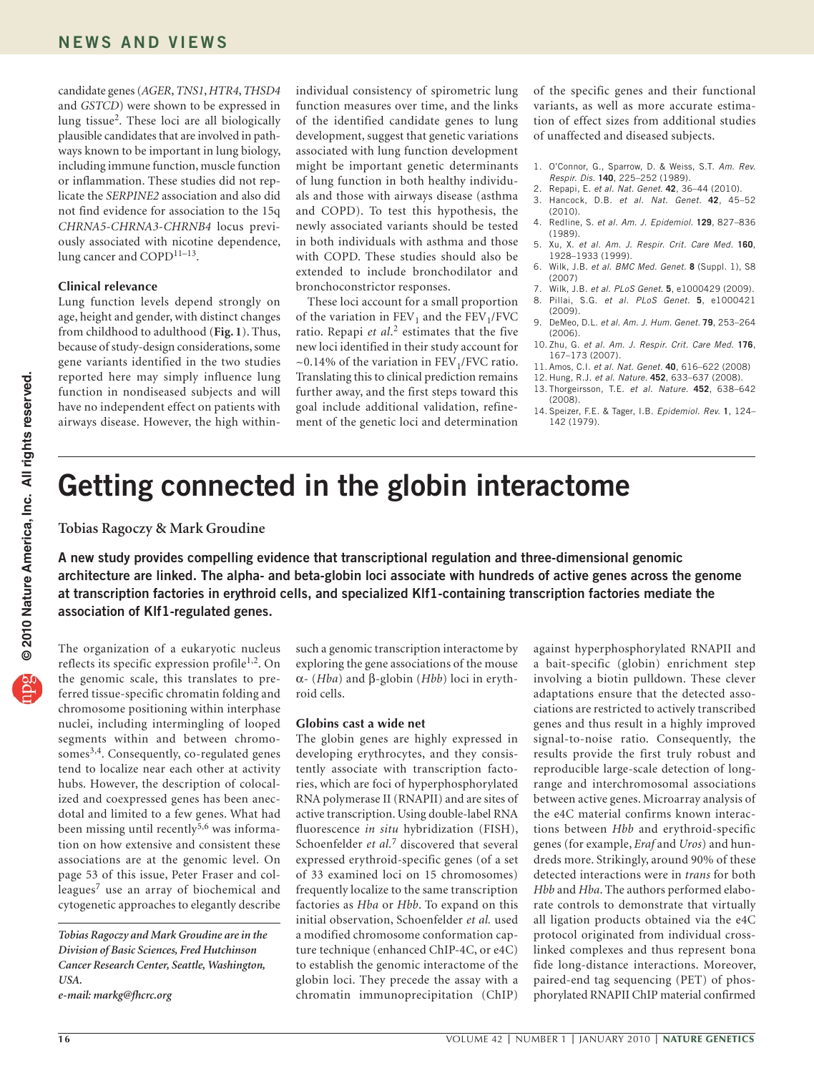candidate genes (*AGER*, *TNS1*, *HTR4*, *THSD4* and *GSTCD*) were shown to be expressed in lung tissue2. These loci are all biologically plausible candidates that are involved in pathways known to be important in lung biology, including immune function, muscle function or inflammation. These studies did not replicate the *SERPINE2* association and also did not find evidence for association to the 15q *CHRNA5-CHRNA3-CHRNB4* locus previously associated with nicotine dependence, lung cancer and COPD<sup>11-13</sup>.

## **Clinical relevance**

Lung function levels depend strongly on age, height and gender, with distinct changes from childhood to adulthood (**Fig. 1**). Thus, because of study-design considerations, some gene variants identified in the two studies reported here may simply influence lung function in nondiseased subjects and will have no independent effect on patients with airways disease. However, the high withinindividual consistency of spirometric lung function measures over time, and the links of the identified candidate genes to lung development, suggest that genetic variations associated with lung function development might be important genetic determinants of lung function in both healthy individuals and those with airways disease (asthma and COPD). To test this hypothesis, the newly associated variants should be tested in both individuals with asthma and those with COPD. These studies should also be extended to include bronchodilator and bronchoconstrictor responses.

These loci account for a small proportion of the variation in  $FEV_1$  and the  $FEV_1/FVC$ ratio. Repapi *et al*. 2 estimates that the five new loci identified in their study account for  $\sim$ 0.14% of the variation in FEV<sub>1</sub>/FVC ratio. Translating this to clinical prediction remains further away, and the first steps toward this goal include additional validation, refinement of the genetic loci and determination

of the specific genes and their functional variants, as well as more accurate estimation of effect sizes from additional studies of unaffected and diseased subjects.

- 1. O'Connor, G., Sparrow, D. & Weiss, S.T. *Am. Rev. Respir. Dis.* **140**, 225–252 (1989).
- 2. Repapi, E. *et al. Nat. Genet*. **42**, 36–44 (2010).
- 3. Hancock, D.B. *et al. Nat. Genet.* **42**, 45–52  $(2010)$
- 4. Redline, S. *et al. Am. J. Epidemiol*. **129**, 827–836 (1989).
- 5. Xu, X. *et al. Am. J. Respir. Crit. Care Med.* **160**, 1928–1933 (1999).
- 6. Wilk, J.B. *et al*. *BMC Med. Genet.* **8** (Suppl. 1), S8 (2007)
- 7. Wilk, J.B. *et al*. *PLoS Genet*. **5**, e1000429 (2009). 8. Pillai, S.G. *et al. PLoS Genet.* **5**, e1000421
- (2009). 9. DeMeo, D.L. *et al. Am. J. Hum. Genet.* **79**, 253–264 (2006).
- 10. Zhu, G. *et al. Am. J. Respir. Crit. Care Med.* **176**, 167–173 (2007).
- 11. Amos, C.I. *et al. Nat. Genet.* **40**, 616–622 (2008)
- 12. Hung, R.J. *et al. Nature.* **452**, 633–637 (2008).
- 13. Thorgeirsson, T.E. *et al. Nature.* **452**, 638–642 (2008).
- 14. Speizer, F.E. & Tager, I.B. *Epidemiol. Rev.* **1**, 124– 142 (1979).

## **Getting connected in the globin interactome**

**Tobias Ragoczy & Mark Groudine**

**A new study provides compelling evidence that transcriptional regulation and three-dimensional genomic architecture are linked. The alpha- and beta-globin loci associate with hundreds of active genes across the genome at transcription factories in erythroid cells, and specialized Klf1-containing transcription factories mediate the association of Klf1-regulated genes.**

The organization of a eukaryotic nucleus reflects its specific expression profile<sup>1,2</sup>. On the genomic scale, this translates to preferred tissue-specific chromatin folding and chromosome positioning within interphase nuclei, including intermingling of looped segments within and between chromosomes<sup>3,4</sup>. Consequently, co-regulated genes tend to localize near each other at activity hubs. However, the description of colocalized and coexpressed genes has been anecdotal and limited to a few genes. What had been missing until recently<sup>5,6</sup> was information on how extensive and consistent these associations are at the genomic level. On page 53 of this issue, Peter Fraser and colleagues<sup>7</sup> use an array of biochemical and cytogenetic approaches to elegantly describe

such a genomic transcription interactome by exploring the gene associations of the mouse α- (*Hba*) and β-globin (*Hbb*) loci in erythroid cells.

## **Globins cast a wide net**

The globin genes are highly expressed in developing erythrocytes, and they consistently associate with transcription factories, which are foci of hyperphosphorylated RNA polymerase II (RNAPII) and are sites of active transcription. Using double-label RNA fluorescence *in situ* hybridization (FISH), Schoenfelder *et al.*7 discovered that several expressed erythroid-specific genes (of a set of 33 examined loci on 15 chromosomes) frequently localize to the same transcription factories as *Hba* or *Hbb*. To expand on this initial observation, Schoenfelder *et al.* used a modified chromosome conformation capture technique (enhanced ChIP-4C, or e4C) to establish the genomic interactome of the globin loci. They precede the assay with a chromatin immunoprecipitation (ChIP)

against hyperphosphorylated RNAPII and a bait-specific (globin) enrichment step involving a biotin pulldown. These clever adaptations ensure that the detected associations are restricted to actively transcribed genes and thus result in a highly improved signal-to-noise ratio. Consequently, the results provide the first truly robust and reproducible large-scale detection of longrange and interchromosomal associations between active genes. Microarray analysis of the e4C material confirms known interactions between *Hbb* and erythroid-specific genes (for example, *Eraf* and *Uros*) and hundreds more. Strikingly, around 90% of these detected interactions were in *trans* for both *Hbb* and *Hba*. The authors performed elaborate controls to demonstrate that virtually all ligation products obtained via the e4C protocol originated from individual crosslinked complexes and thus represent bona fide long-distance interactions. Moreover, paired-end tag sequencing (PET) of phosphorylated RNAPII ChIP material confirmed

*Tobias Ragoczy and Mark Groudine are in the Division of Basic Sciences, Fred Hutchinson Cancer Research Center, Seattle, Washington, USA.* 

*e-mail: [markg@fhcrc.org](mailto:markg@fhcrc.org)*